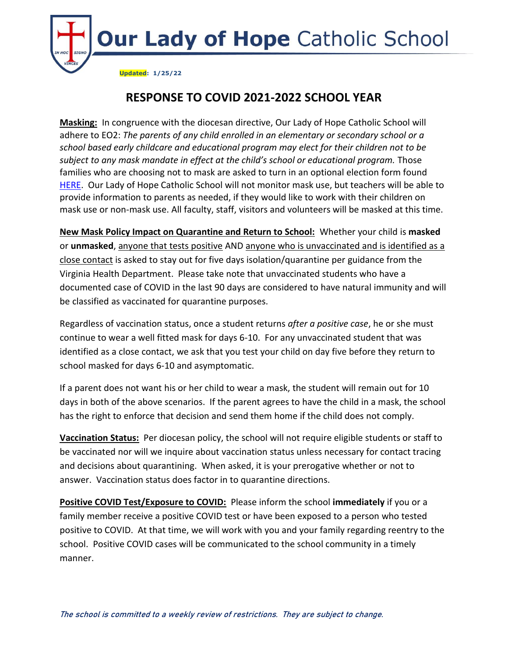

## **RESPONSE TO COVID 2021-2022 SCHOOL YEAR**

**Masking:** In congruence with the diocesan directive, Our Lady of Hope Catholic School will adhere to EO2: *The parents of any child enrolled in an elementary or secondary school or a school based early childcare and educational program may elect for their children not to be*  subject to any mask mandate in effect at the child's school or educational program. Those families who are choosing not to mask are asked to turn in an optional election form found [HERE.](https://ourladyofhopeschool.net/wp-content/uploads/CDA-mask-election-form-for-Optional-Use.20Jan2022.pdf) Our Lady of Hope Catholic School will not monitor mask use, but teachers will be able to provide information to parents as needed, if they would like to work with their children on mask use or non-mask use. All faculty, staff, visitors and volunteers will be masked at this time.

**New Mask Policy Impact on Quarantine and Return to School:** Whether your child is **masked** or **unmasked**, anyone that tests positive AND anyone who is unvaccinated and is identified as a close contact is asked to stay out for five days isolation/quarantine per guidance from the Virginia Health Department. Please take note that unvaccinated students who have a documented case of COVID in the last 90 days are considered to have natural immunity and will be classified as vaccinated for quarantine purposes.

Regardless of vaccination status, once a student returns *after a positive case*, he or she must continue to wear a well fitted mask for days 6-10. For any unvaccinated student that was identified as a close contact, we ask that you test your child on day five before they return to school masked for days 6-10 and asymptomatic.

If a parent does not want his or her child to wear a mask, the student will remain out for 10 days in both of the above scenarios. If the parent agrees to have the child in a mask, the school has the right to enforce that decision and send them home if the child does not comply.

**Vaccination Status:** Per diocesan policy, the school will not require eligible students or staff to be vaccinated nor will we inquire about vaccination status unless necessary for contact tracing and decisions about quarantining. When asked, it is your prerogative whether or not to answer. Vaccination status does factor in to quarantine directions.

**Positive COVID Test/Exposure to COVID:** Please inform the school **immediately** if you or a family member receive a positive COVID test or have been exposed to a person who tested positive to COVID. At that time, we will work with you and your family regarding reentry to the school. Positive COVID cases will be communicated to the school community in a timely manner.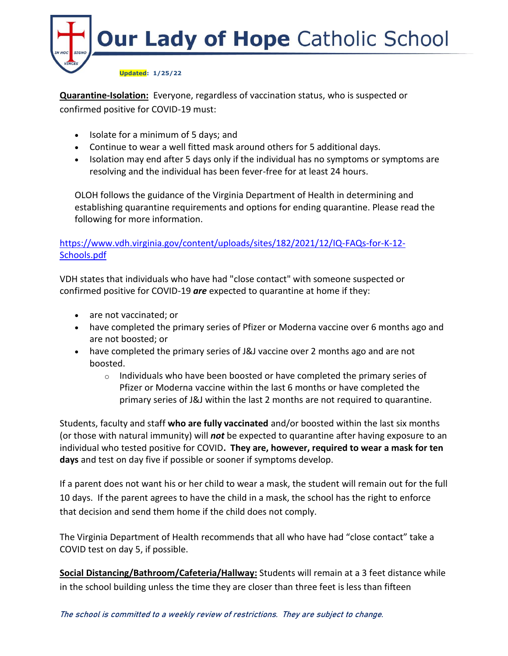

**Quarantine-Isolation:** Everyone, regardless of vaccination status, who is suspected or confirmed positive for COVID-19 must:

- Isolate for a minimum of 5 days; and
- Continue to wear a well fitted mask around others for 5 additional days.
- Isolation may end after 5 days only if the individual has no symptoms or symptoms are resolving and the individual has been fever-free for at least 24 hours.

OLOH follows the guidance of the Virginia Department of Health in determining and establishing quarantine requirements and options for ending quarantine. Please read the following for more information.

## [https://www.vdh.virginia.gov/content/uploads/sites/182/2021/12/IQ-FAQs-for-K-12-](https://www.vdh.virginia.gov/content/uploads/sites/182/2021/12/IQ-FAQs-for-K-12-Schools.pdf) [Schools.pdf](https://www.vdh.virginia.gov/content/uploads/sites/182/2021/12/IQ-FAQs-for-K-12-Schools.pdf)

VDH states that individuals who have had "close contact" with someone suspected or confirmed positive for COVID-19 *are* expected to quarantine at home if they:

- are not vaccinated; or
- have completed the primary series of Pfizer or Moderna vaccine over 6 months ago and are not boosted; or
- have completed the primary series of J&J vaccine over 2 months ago and are not boosted.
	- $\circ$  Individuals who have been boosted or have completed the primary series of Pfizer or Moderna vaccine within the last 6 months or have completed the primary series of J&J within the last 2 months are not required to quarantine.

Students, faculty and staff **who are fully vaccinated** and/or boosted within the last six months (or those with natural immunity) will *not* be expected to quarantine after having exposure to an individual who tested positive for COVID**. They are, however, required to wear a mask for ten days** and test on day five if possible or sooner if symptoms develop.

If a parent does not want his or her child to wear a mask, the student will remain out for the full 10 days. If the parent agrees to have the child in a mask, the school has the right to enforce that decision and send them home if the child does not comply.

The Virginia Department of Health recommends that all who have had "close contact" take a COVID test on day 5, if possible.

**Social Distancing/Bathroom/Cafeteria/Hallway:** Students will remain at a 3 feet distance while in the school building unless the time they are closer than three feet is less than fifteen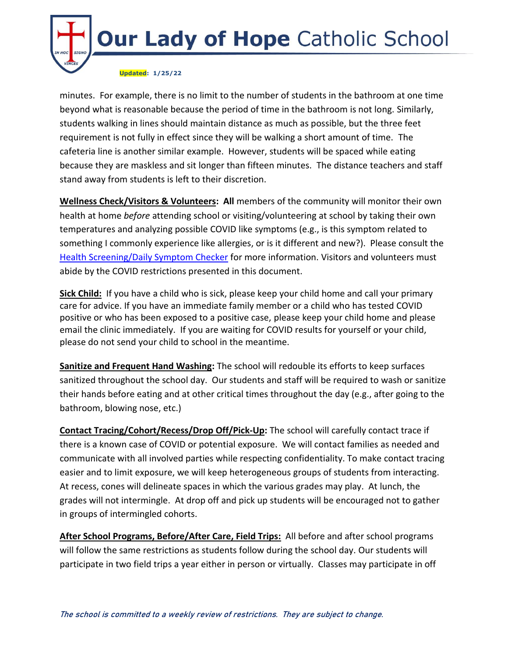

minutes. For example, there is no limit to the number of students in the bathroom at one time beyond what is reasonable because the period of time in the bathroom is not long. Similarly, students walking in lines should maintain distance as much as possible, but the three feet requirement is not fully in effect since they will be walking a short amount of time. The cafeteria line is another similar example. However, students will be spaced while eating because they are maskless and sit longer than fifteen minutes. The distance teachers and staff stand away from students is left to their discretion.

**Wellness Check/Visitors & Volunteers: All** members of the community will monitor their own health at home *before* attending school or visiting/volunteering at school by taking their own temperatures and analyzing possible COVID like symptoms (e.g., is this symptom related to something I commonly experience like allergies, or is it different and new?). Please consult the [Health Screening/Daily Symptom Checker](https://ourladyofhopeschool.net/wp-content/uploads/Daily-Symptom-Health-Wellness-Checker.pdf) for more information. Visitors and volunteers must abide by the COVID restrictions presented in this document.

**Sick Child:** If you have a child who is sick, please keep your child home and call your primary care for advice. If you have an immediate family member or a child who has tested COVID positive or who has been exposed to a positive case, please keep your child home and please email the clinic immediately. If you are waiting for COVID results for yourself or your child, please do not send your child to school in the meantime.

**Sanitize and Frequent Hand Washing:** The school will redouble its efforts to keep surfaces sanitized throughout the school day. Our students and staff will be required to wash or sanitize their hands before eating and at other critical times throughout the day (e.g., after going to the bathroom, blowing nose, etc.)

**Contact Tracing/Cohort/Recess/Drop Off/Pick-Up:** The school will carefully contact trace if there is a known case of COVID or potential exposure. We will contact families as needed and communicate with all involved parties while respecting confidentiality. To make contact tracing easier and to limit exposure, we will keep heterogeneous groups of students from interacting. At recess, cones will delineate spaces in which the various grades may play. At lunch, the grades will not intermingle. At drop off and pick up students will be encouraged not to gather in groups of intermingled cohorts.

**After School Programs, Before/After Care, Field Trips:** All before and after school programs will follow the same restrictions as students follow during the school day. Our students will participate in two field trips a year either in person or virtually. Classes may participate in off